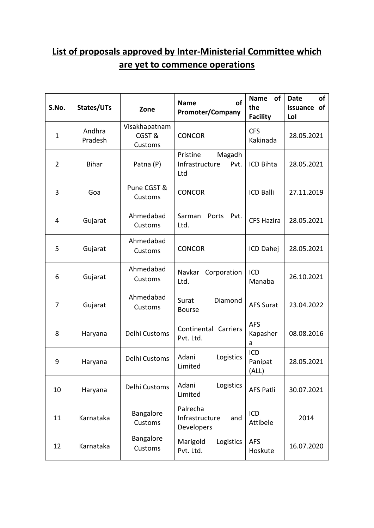## **List of proposals approved by Inter-Ministerial Committee which are yet to commence operations**

| S.No.          | States/UTs        | Zone                              | of<br><b>Name</b><br><b>Promoter/Company</b>        | of<br><b>Name</b><br>the<br><b>Facility</b> | <b>Date</b><br>of<br>issuance of<br>Lol |
|----------------|-------------------|-----------------------------------|-----------------------------------------------------|---------------------------------------------|-----------------------------------------|
| $\mathbf 1$    | Andhra<br>Pradesh | Visakhapatnam<br>CGST&<br>Customs | <b>CONCOR</b>                                       | <b>CFS</b><br>Kakinada                      | 28.05.2021                              |
| $\overline{2}$ | <b>Bihar</b>      | Patna (P)                         | Magadh<br>Pristine<br>Infrastructure<br>Pvt.<br>Ltd | ICD Bihta                                   | 28.05.2021                              |
| 3              | Goa               | Pune CGST &<br>Customs            | <b>CONCOR</b>                                       | <b>ICD Balli</b>                            | 27.11.2019                              |
| 4              | Gujarat           | Ahmedabad<br>Customs              | Sarman<br>Ports<br>Pvt.<br>Ltd.                     | <b>CFS Hazira</b>                           | 28.05.2021                              |
| 5              | Gujarat           | Ahmedabad<br>Customs              | <b>CONCOR</b>                                       | ICD Dahej                                   | 28.05.2021                              |
| 6              | Gujarat           | Ahmedabad<br>Customs              | Navkar<br>Corporation<br>Ltd.                       | ICD<br>Manaba                               | 26.10.2021                              |
| $\overline{7}$ | Gujarat           | Ahmedabad<br>Customs              | Diamond<br>Surat<br><b>Bourse</b>                   | <b>AFS Surat</b>                            | 23.04.2022                              |
| 8              | Haryana           | Delhi Customs                     | Continental Carriers<br>Pvt. Ltd.                   | <b>AFS</b><br>Kapasher<br>a                 | 08.08.2016                              |
| 9              | Haryana           | Delhi Customs                     | Adani<br>Logistics<br>Limited                       | ICD<br>Panipat<br>(ALL)                     | 28.05.2021                              |
| 10             | Haryana           | Delhi Customs                     | Adani<br>Logistics<br>Limited                       | <b>AFS Patli</b>                            | 30.07.2021                              |
| 11             | Karnataka         | Bangalore<br>Customs              | Palrecha<br>Infrastructure<br>and<br>Developers     | ICD<br>Attibele                             | 2014                                    |
| 12             | Karnataka         | Bangalore<br>Customs              | Marigold<br>Logistics<br>Pvt. Ltd.                  | <b>AFS</b><br>Hoskute                       | 16.07.2020                              |